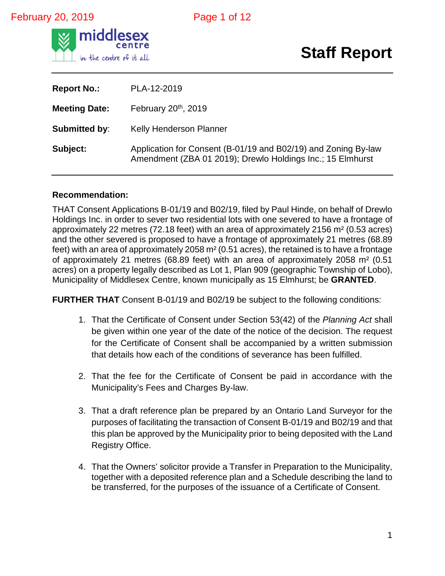### February 20, 2019 **Page 1 of 12**



# **Staff Report**

| <b>Report No.:</b>   | PLA-12-2019                                                                                                                  |
|----------------------|------------------------------------------------------------------------------------------------------------------------------|
| <b>Meeting Date:</b> | February 20 <sup>th</sup> , 2019                                                                                             |
| <b>Submitted by:</b> | Kelly Henderson Planner                                                                                                      |
| Subject:             | Application for Consent (B-01/19 and B02/19) and Zoning By-law<br>Amendment (ZBA 01 2019); Drewlo Holdings Inc.; 15 Elmhurst |

#### **Recommendation:**

THAT Consent Applications B-01/19 and B02/19, filed by Paul Hinde, on behalf of Drewlo Holdings Inc. in order to sever two residential lots with one severed to have a frontage of approximately 22 metres (72.18 feet) with an area of approximately 2156 m² (0.53 acres) and the other severed is proposed to have a frontage of approximately 21 metres (68.89 feet) with an area of approximately 2058 m² (0.51 acres), the retained is to have a frontage of approximately 21 metres (68.89 feet) with an area of approximately 2058 m² (0.51 acres) on a property legally described as Lot 1, Plan 909 (geographic Township of Lobo), Municipality of Middlesex Centre, known municipally as 15 Elmhurst; be **GRANTED**.

**FURTHER THAT** Consent B-01/19 and B02/19 be subject to the following conditions:

- 1. That the Certificate of Consent under Section 53(42) of the *Planning Act* shall be given within one year of the date of the notice of the decision. The request for the Certificate of Consent shall be accompanied by a written submission that details how each of the conditions of severance has been fulfilled.
- 2. That the fee for the Certificate of Consent be paid in accordance with the Municipality's Fees and Charges By-law.
- 3. That a draft reference plan be prepared by an Ontario Land Surveyor for the purposes of facilitating the transaction of Consent B-01/19 and B02/19 and that this plan be approved by the Municipality prior to being deposited with the Land Registry Office.
- 4. That the Owners' solicitor provide a Transfer in Preparation to the Municipality, together with a deposited reference plan and a Schedule describing the land to be transferred, for the purposes of the issuance of a Certificate of Consent.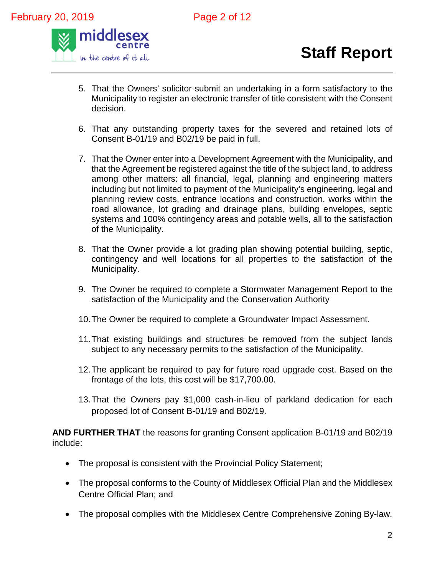

- 5. That the Owners' solicitor submit an undertaking in a form satisfactory to the Municipality to register an electronic transfer of title consistent with the Consent decision.
- 6. That any outstanding property taxes for the severed and retained lots of Consent B-01/19 and B02/19 be paid in full.
- 7. That the Owner enter into a Development Agreement with the Municipality, and that the Agreement be registered against the title of the subject land, to address among other matters: all financial, legal, planning and engineering matters including but not limited to payment of the Municipality's engineering, legal and planning review costs, entrance locations and construction, works within the road allowance, lot grading and drainage plans, building envelopes, septic systems and 100% contingency areas and potable wells, all to the satisfaction of the Municipality.
- 8. That the Owner provide a lot grading plan showing potential building, septic, contingency and well locations for all properties to the satisfaction of the Municipality.
- 9. The Owner be required to complete a Stormwater Management Report to the satisfaction of the Municipality and the Conservation Authority
- 10.The Owner be required to complete a Groundwater Impact Assessment.
- 11.That existing buildings and structures be removed from the subject lands subject to any necessary permits to the satisfaction of the Municipality.
- 12.The applicant be required to pay for future road upgrade cost. Based on the frontage of the lots, this cost will be \$17,700.00.
- 13.That the Owners pay \$1,000 cash-in-lieu of parkland dedication for each proposed lot of Consent B-01/19 and B02/19.

**AND FURTHER THAT** the reasons for granting Consent application B-01/19 and B02/19 include:

- The proposal is consistent with the Provincial Policy Statement;
- The proposal conforms to the County of Middlesex Official Plan and the Middlesex Centre Official Plan; and
- The proposal complies with the Middlesex Centre Comprehensive Zoning By-law.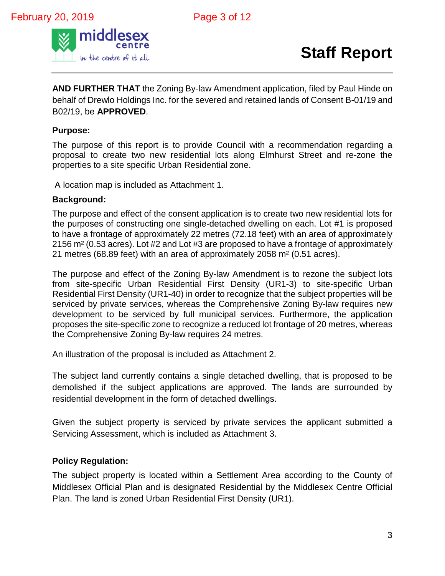

**AND FURTHER THAT** the Zoning By-law Amendment application, filed by Paul Hinde on behalf of Drewlo Holdings Inc. for the severed and retained lands of Consent B-01/19 and B02/19, be **APPROVED**.

#### **Purpose:**

The purpose of this report is to provide Council with a recommendation regarding a proposal to create two new residential lots along Elmhurst Street and re-zone the properties to a site specific Urban Residential zone.

A location map is included as Attachment 1.

#### **Background:**

The purpose and effect of the consent application is to create two new residential lots for the purposes of constructing one single-detached dwelling on each. Lot #1 is proposed to have a frontage of approximately 22 metres (72.18 feet) with an area of approximately 2156 m² (0.53 acres). Lot #2 and Lot #3 are proposed to have a frontage of approximately 21 metres (68.89 feet) with an area of approximately 2058 m² (0.51 acres).

The purpose and effect of the Zoning By-law Amendment is to rezone the subject lots from site-specific Urban Residential First Density (UR1-3) to site-specific Urban Residential First Density (UR1-40) in order to recognize that the subject properties will be serviced by private services, whereas the Comprehensive Zoning By-law requires new development to be serviced by full municipal services. Furthermore, the application proposes the site-specific zone to recognize a reduced lot frontage of 20 metres, whereas the Comprehensive Zoning By-law requires 24 metres.

An illustration of the proposal is included as Attachment 2.

The subject land currently contains a single detached dwelling, that is proposed to be demolished if the subject applications are approved. The lands are surrounded by residential development in the form of detached dwellings.

Given the subject property is serviced by private services the applicant submitted a Servicing Assessment, which is included as Attachment 3.

#### **Policy Regulation:**

The subject property is located within a Settlement Area according to the County of Middlesex Official Plan and is designated Residential by the Middlesex Centre Official Plan. The land is zoned Urban Residential First Density (UR1).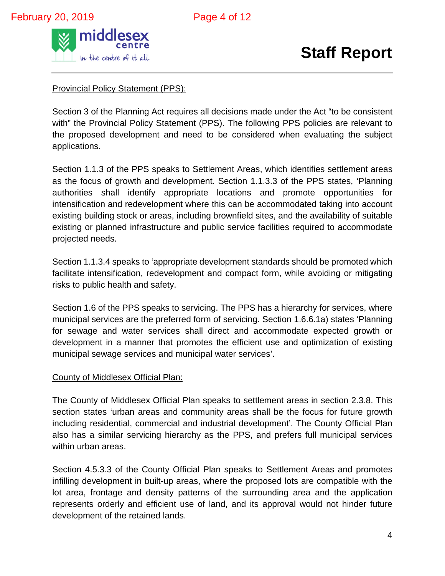

Provincial Policy Statement (PPS):

Section 3 of the Planning Act requires all decisions made under the Act "to be consistent with" the Provincial Policy Statement (PPS). The following PPS policies are relevant to the proposed development and need to be considered when evaluating the subject applications.

Section 1.1.3 of the PPS speaks to Settlement Areas, which identifies settlement areas as the focus of growth and development. Section 1.1.3.3 of the PPS states, 'Planning authorities shall identify appropriate locations and promote opportunities for intensification and redevelopment where this can be accommodated taking into account existing building stock or areas, including brownfield sites, and the availability of suitable existing or planned infrastructure and public service facilities required to accommodate projected needs.

Section 1.1.3.4 speaks to 'appropriate development standards should be promoted which facilitate intensification, redevelopment and compact form, while avoiding or mitigating risks to public health and safety.

Section 1.6 of the PPS speaks to servicing. The PPS has a hierarchy for services, where municipal services are the preferred form of servicing. Section 1.6.6.1a) states 'Planning for sewage and water services shall direct and accommodate expected growth or development in a manner that promotes the efficient use and optimization of existing municipal sewage services and municipal water services'.

#### County of Middlesex Official Plan:

The County of Middlesex Official Plan speaks to settlement areas in section 2.3.8. This section states 'urban areas and community areas shall be the focus for future growth including residential, commercial and industrial development'. The County Official Plan also has a similar servicing hierarchy as the PPS, and prefers full municipal services within urban areas.

Section 4.5.3.3 of the County Official Plan speaks to Settlement Areas and promotes infilling development in built-up areas, where the proposed lots are compatible with the lot area, frontage and density patterns of the surrounding area and the application represents orderly and efficient use of land, and its approval would not hinder future development of the retained lands.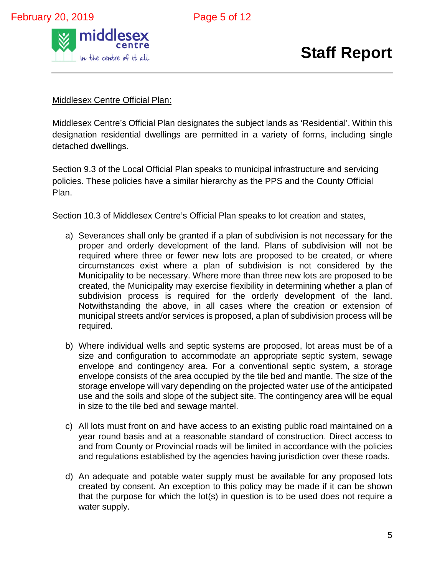

#### Middlesex Centre Official Plan:

Middlesex Centre's Official Plan designates the subject lands as 'Residential'. Within this designation residential dwellings are permitted in a variety of forms, including single detached dwellings.

Section 9.3 of the Local Official Plan speaks to municipal infrastructure and servicing policies. These policies have a similar hierarchy as the PPS and the County Official Plan.

Section 10.3 of Middlesex Centre's Official Plan speaks to lot creation and states,

- a) Severances shall only be granted if a plan of subdivision is not necessary for the proper and orderly development of the land. Plans of subdivision will not be required where three or fewer new lots are proposed to be created, or where circumstances exist where a plan of subdivision is not considered by the Municipality to be necessary. Where more than three new lots are proposed to be created, the Municipality may exercise flexibility in determining whether a plan of subdivision process is required for the orderly development of the land. Notwithstanding the above, in all cases where the creation or extension of municipal streets and/or services is proposed, a plan of subdivision process will be required.
- b) Where individual wells and septic systems are proposed, lot areas must be of a size and configuration to accommodate an appropriate septic system, sewage envelope and contingency area. For a conventional septic system, a storage envelope consists of the area occupied by the tile bed and mantle. The size of the storage envelope will vary depending on the projected water use of the anticipated use and the soils and slope of the subject site. The contingency area will be equal in size to the tile bed and sewage mantel.
- c) All lots must front on and have access to an existing public road maintained on a year round basis and at a reasonable standard of construction. Direct access to and from County or Provincial roads will be limited in accordance with the policies and regulations established by the agencies having jurisdiction over these roads.
- d) An adequate and potable water supply must be available for any proposed lots created by consent. An exception to this policy may be made if it can be shown that the purpose for which the lot(s) in question is to be used does not require a water supply.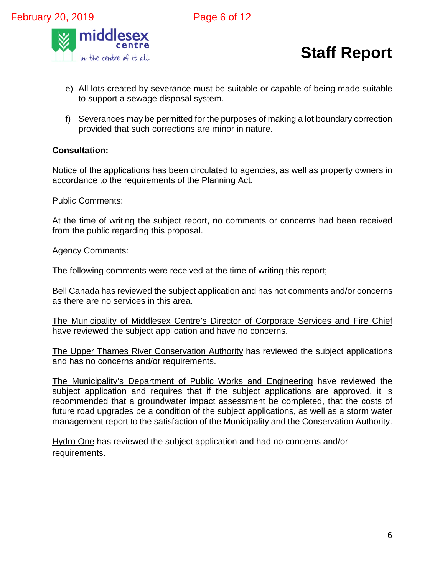

- e) All lots created by severance must be suitable or capable of being made suitable to support a sewage disposal system.
- f) Severances may be permitted for the purposes of making a lot boundary correction provided that such corrections are minor in nature.

#### **Consultation:**

Notice of the applications has been circulated to agencies, as well as property owners in accordance to the requirements of the Planning Act.

#### Public Comments:

At the time of writing the subject report, no comments or concerns had been received from the public regarding this proposal.

#### Agency Comments:

The following comments were received at the time of writing this report;

Bell Canada has reviewed the subject application and has not comments and/or concerns as there are no services in this area.

The Municipality of Middlesex Centre's Director of Corporate Services and Fire Chief have reviewed the subject application and have no concerns.

The Upper Thames River Conservation Authority has reviewed the subject applications and has no concerns and/or requirements.

The Municipality's Department of Public Works and Engineering have reviewed the subject application and requires that if the subject applications are approved, it is recommended that a groundwater impact assessment be completed, that the costs of future road upgrades be a condition of the subject applications, as well as a storm water management report to the satisfaction of the Municipality and the Conservation Authority.

Hydro One has reviewed the subject application and had no concerns and/or requirements.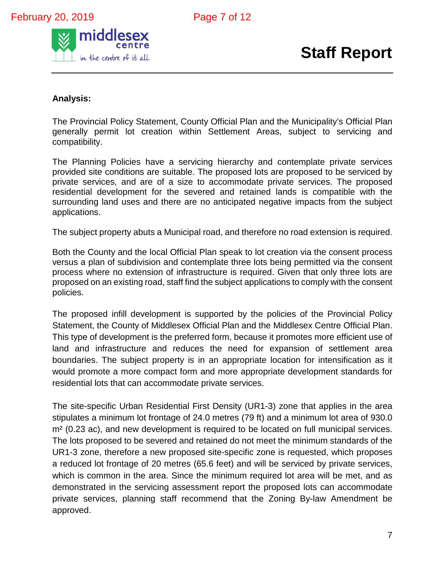

#### **Analysis:**

The Provincial Policy Statement, County Official Plan and the Municipality's Official Plan generally permit lot creation within Settlement Areas, subject to servicing and compatibility.

The Planning Policies have a servicing hierarchy and contemplate private services provided site conditions are suitable. The proposed lots are proposed to be serviced by private services, and are of a size to accommodate private services. The proposed residential development for the severed and retained lands is compatible with the surrounding land uses and there are no anticipated negative impacts from the subject applications.

The subject property abuts a Municipal road, and therefore no road extension is required.

Both the County and the local Official Plan speak to lot creation via the consent process versus a plan of subdivision and contemplate three lots being permitted via the consent process where no extension of infrastructure is required. Given that only three lots are proposed on an existing road, staff find the subject applications to comply with the consent policies.

The proposed infill development is supported by the policies of the Provincial Policy Statement, the County of Middlesex Official Plan and the Middlesex Centre Official Plan. This type of development is the preferred form, because it promotes more efficient use of land and infrastructure and reduces the need for expansion of settlement area boundaries. The subject property is in an appropriate location for intensification as it would promote a more compact form and more appropriate development standards for residential lots that can accommodate private services.

The site-specific Urban Residential First Density (UR1-3) zone that applies in the area stipulates a minimum lot frontage of 24.0 metres (79 ft) and a minimum lot area of 930.0 m² (0.23 ac), and new development is required to be located on full municipal services. The lots proposed to be severed and retained do not meet the minimum standards of the UR1-3 zone, therefore a new proposed site-specific zone is requested, which proposes a reduced lot frontage of 20 metres (65.6 feet) and will be serviced by private services, which is common in the area. Since the minimum required lot area will be met, and as demonstrated in the servicing assessment report the proposed lots can accommodate private services, planning staff recommend that the Zoning By-law Amendment be approved.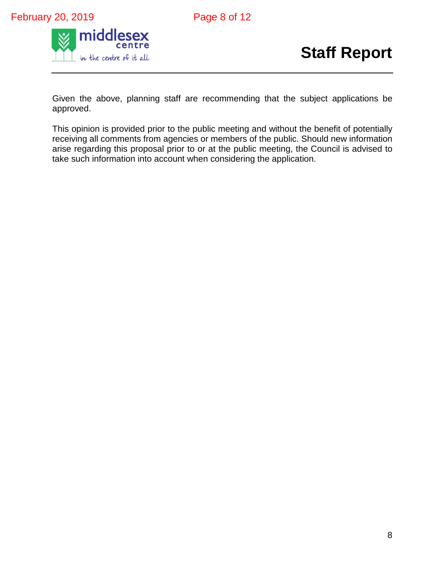



Given the above, planning staff are recommending that the subject applications be approved.

This opinion is provided prior to the public meeting and without the benefit of potentially receiving all comments from agencies or members of the public. Should new information arise regarding this proposal prior to or at the public meeting, the Council is advised to take such information into account when considering the application.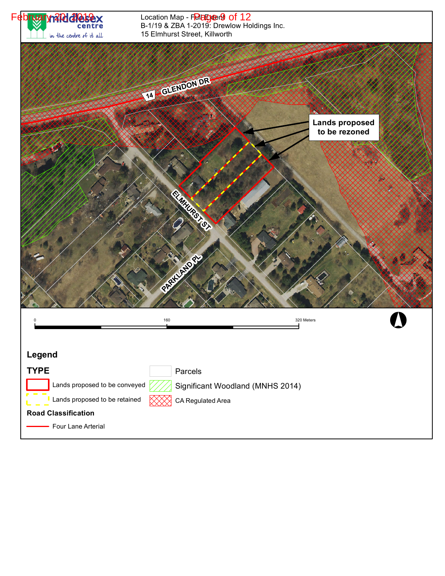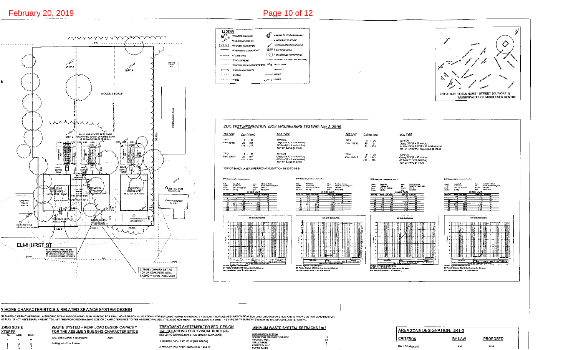Ø

<u>DING SIZE &</u>

 $\blacksquare$ 

 $1.5$ 

<u>XTURES</u>



**SEPTIC TANKS** 

MIN. LOT AREA (m<sup>2</sup>)

930

2105

2. M/N. CONTACT AREA: 2900 X 8/850 = 27.3 m<sup>2</sup>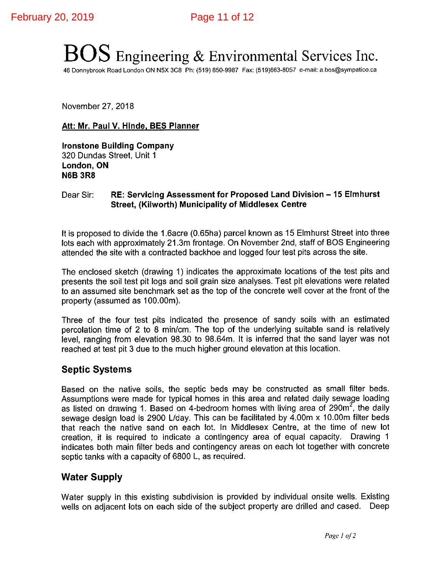# **BOS** Engineering & Environmental Services Inc.

46 Donnybrook Road London ON N5X 3C8 Ph: (519) 850-9987 Fax: (519)663-8057 e-mail: a.bos@sympatico.ca

November 27, 2018

#### Att: Mr. Paul V. Hinde, BES Planner

**Ironstone Building Company** 320 Dundas Street, Unit 1 London, ON **N6B 3R8** 

#### RE: Servicing Assessment for Proposed Land Division - 15 Elmhurst Dear Sir: **Street, (Kilworth) Municipality of Middlesex Centre**

It is proposed to divide the 1.6acre (0.65ha) parcel known as 15 Elmhurst Street into three lots each with approximately 21.3m frontage. On November 2nd, staff of BOS Engineering attended the site with a contracted backhoe and logged four test pits across the site.

The enclosed sketch (drawing 1) indicates the approximate locations of the test pits and presents the soil test pit logs and soil grain size analyses. Test pit elevations were related to an assumed site benchmark set as the top of the concrete well cover at the front of the property (assumed as 100.00m).

Three of the four test pits indicated the presence of sandy soils with an estimated percolation time of 2 to 8 min/cm. The top of the underlying suitable sand is relatively level, ranging from elevation 98.30 to 98.64m. It is inferred that the sand layer was not reached at test pit 3 due to the much higher ground elevation at this location.

#### **Septic Systems**

Based on the native soils, the septic beds may be constructed as small filter beds. Assumptions were made for typical homes in this area and related daily sewage loading as listed on drawing 1. Based on 4-bedroom homes with living area of 290m<sup>2</sup>, the daily sewage design load is 2900 L/day. This can be facilitated by 4.00m x 10.00m filter beds that reach the native sand on each lot. In Middlesex Centre, at the time of new lot creation, it is required to indicate a contingency area of equal capacity. Drawing 1 indicates both main filter beds and contingency areas on each lot together with concrete septic tanks with a capacity of 6800 L, as required.

#### **Water Supply**

Water supply in this existing subdivision is provided by individual onsite wells. Existing wells on adjacent lots on each side of the subject property are drilled and cased. Deep